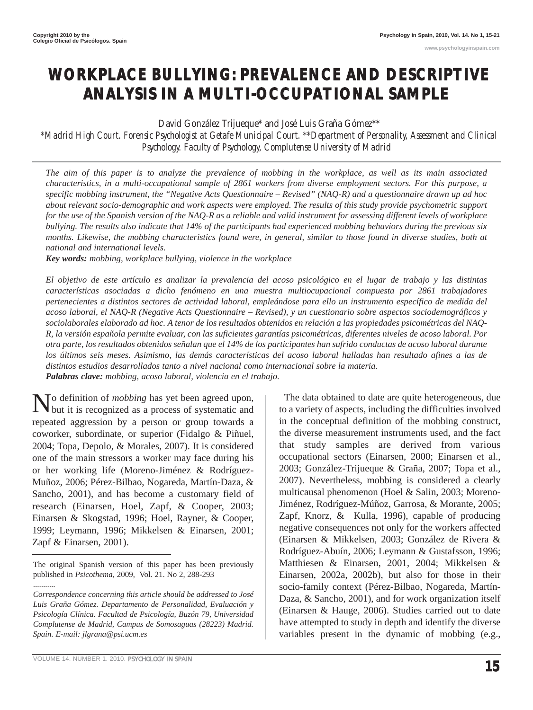**www.psychologyinspain.com**

# **WORKPLACE BULLYING: PREVALENCE AND DESCRIPTIVE ANALYSIS IN A MULTI-OCCUPATIONAL SAMPLE**

David González Trijueque\* and José Luis Graña Gómez\*\*

*\*Madrid High Court. Forensic Psychologist at Getafe Municipal Court. \*\*Department of Personality, Assessment and Clinical Psychology. Faculty of Psychology, Complutense University of Madrid*

*The aim of this paper is to analyze the prevalence of mobbing in the workplace, as well as its main associated characteristics, in a multi-occupational sample of 2861 workers from diverse employment sectors. For this purpose, a specific mobbing instrument, the "Negative Acts Questionnaire – Revised" (NAQ-R) and a questionnaire drawn up ad hoc about relevant socio-demographic and work aspects were employed. The results of this study provide psychometric support for the use of the Spanish version of the NAQ-R as a reliable and valid instrument for assessing different levels of workplace bullying. The results also indicate that 14% of the participants had experienced mobbing behaviors during the previous six months. Likewise, the mobbing characteristics found were, in general, similar to those found in diverse studies, both at national and international levels.* 

*Key words: mobbing, workplace bullying, violence in the workplace*

*El objetivo de este artículo es analizar la prevalencia del acoso psicológico en el lugar de trabajo y las distintas características asociadas a dicho fenómeno en una muestra multiocupacional compuesta por 2861 trabajadores pertenecientes a distintos sectores de actividad laboral, empleándose para ello un instrumento específico de medida del acoso laboral, el NAQ-R (Negative Acts Questionnaire – Revised), y un cuestionario sobre aspectos sociodemográficos y sociolaborales elaborado ad hoc. A tenor de los resultados obtenidos en relación a las propiedades psicométricas del NAQ-R, la versión española permite evaluar, con las suficientes garantías psicométricas, diferentes niveles de acoso laboral. Por otra parte, los resultados obtenidos señalan que el 14% de los participantes han sufrido conductas de acoso laboral durante los últimos seis meses. Asimismo, las demás características del acoso laboral halladas han resultado afines a las de distintos estudios desarrollados tanto a nivel nacional como internacional sobre la materia. Palabras clave: mobbing, acoso laboral, violencia en el trabajo.*

No definition of *mobbing* has yet been agreed upon,<br>but it is recognized as a process of systematic and repeated aggression by a person or group towards a coworker, subordinate, or superior (Fidalgo & Piñuel, 2004; Topa, Depolo, & Morales, 2007). It is considered one of the main stressors a worker may face during his or her working life (Moreno-Jiménez & Rodríguez-Muñoz, 2006; Pérez-Bilbao, Nogareda, Martín-Daza, & Sancho, 2001), and has become a customary field of research (Einarsen, Hoel, Zapf, & Cooper, 2003; Einarsen & Skogstad, 1996; Hoel, Rayner, & Cooper, 1999; Leymann, 1996; Mikkelsen & Einarsen, 2001; Zapf & Einarsen, 2001).

to a variety of aspects, including the difficulties involved in the conceptual definition of the mobbing construct, the diverse measurement instruments used, and the fact that study samples are derived from various occupational sectors (Einarsen, 2000; Einarsen et al., 2003; González-Trijueque & Graña, 2007; Topa et al., 2007). Nevertheless, mobbing is considered a clearly multicausal phenomenon (Hoel & Salin, 2003; Moreno-Jiménez, Rodríguez-Múñoz, Garrosa, & Morante, 2005; Zapf, Knorz, & Kulla, 1996), capable of producing negative consequences not only for the workers affected (Einarsen & Mikkelsen, 2003; González de Rivera & Rodríguez-Abuín, 2006; Leymann & Gustafsson, 1996; Matthiesen & Einarsen, 2001, 2004; Mikkelsen & Einarsen, 2002a, 2002b), but also for those in their socio-family context (Pérez-Bilbao, Nogareda, Martín-Daza, & Sancho, 2001), and for work organization itself (Einarsen & Hauge, 2006). Studies carried out to date have attempted to study in depth and identify the diverse variables present in the dynamic of mobbing (e.g.,

The data obtained to date are quite heterogeneous, due

VOLUME 14. NUMBER 1. 2010. *PSYCHOLOGY IN SPAIN* **15** 

...........

The original Spanish version of this paper has been previously published in *Psicothema*, 2009, Vol. 21. No 2, 288-293

*Correspondence concerning this article should be addressed to José Luis Graña Gómez. Departamento de Personalidad, Evaluación y Psicología Clínica. Facultad de Psicología, Buzón 79, Universidad Complutense de Madrid, Campus de Somosaguas (28223) Madrid. Spain. E-mail: jlgrana@psi.ucm.es*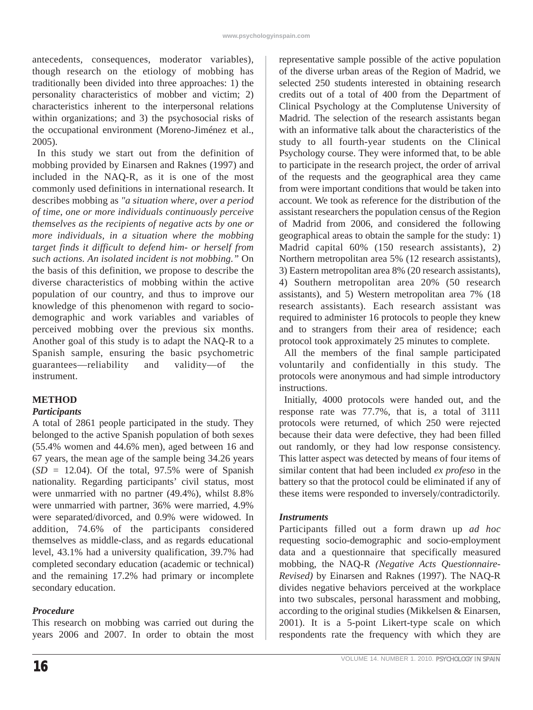antecedents, consequences, moderator variables), though research on the etiology of mobbing has traditionally been divided into three approaches: 1) the personality characteristics of mobber and victim; 2) characteristics inherent to the interpersonal relations within organizations; and 3) the psychosocial risks of the occupational environment (Moreno-Jiménez et al., 2005).

In this study we start out from the definition of mobbing provided by Einarsen and Raknes (1997) and included in the NAQ-R, as it is one of the most commonly used definitions in international research. It describes mobbing as *"a situation where, over a period of time, one or more individuals continuously perceive themselves as the recipients of negative acts by one or more individuals, in a situation where the mobbing target finds it difficult to defend him- or herself from such actions. An isolated incident is not mobbing."* On the basis of this definition, we propose to describe the diverse characteristics of mobbing within the active population of our country, and thus to improve our knowledge of this phenomenon with regard to sociodemographic and work variables and variables of perceived mobbing over the previous six months. Another goal of this study is to adapt the NAQ-R to a Spanish sample, ensuring the basic psychometric guarantees—reliability and validity—of the instrument.

# **METHOD**

## *Participants*

A total of 2861 people participated in the study. They belonged to the active Spanish population of both sexes (55.4% women and 44.6% men), aged between 16 and 67 years, the mean age of the sample being 34.26 years  $(SD = 12.04)$ . Of the total, 97.5% were of Spanish nationality. Regarding participants' civil status, most were unmarried with no partner (49.4%), whilst 8.8% were unmarried with partner, 36% were married, 4.9% were separated/divorced, and 0.9% were widowed. In addition, 74.6% of the participants considered themselves as middle-class, and as regards educational level, 43.1% had a university qualification, 39.7% had completed secondary education (academic or technical) and the remaining 17.2% had primary or incomplete secondary education.

## *Procedure*

This research on mobbing was carried out during the years 2006 and 2007. In order to obtain the most representative sample possible of the active population of the diverse urban areas of the Region of Madrid, we selected 250 students interested in obtaining research credits out of a total of 400 from the Department of Clinical Psychology at the Complutense University of Madrid. The selection of the research assistants began with an informative talk about the characteristics of the study to all fourth-year students on the Clinical Psychology course. They were informed that, to be able to participate in the research project, the order of arrival of the requests and the geographical area they came from were important conditions that would be taken into account. We took as reference for the distribution of the assistant researchers the population census of the Region of Madrid from 2006, and considered the following geographical areas to obtain the sample for the study: 1) Madrid capital 60% (150 research assistants), 2) Northern metropolitan area 5% (12 research assistants), 3) Eastern metropolitan area 8% (20 research assistants), 4) Southern metropolitan area 20% (50 research assistants), and 5) Western metropolitan area 7% (18 research assistants). Each research assistant was required to administer 16 protocols to people they knew and to strangers from their area of residence; each protocol took approximately 25 minutes to complete.

All the members of the final sample participated voluntarily and confidentially in this study. The protocols were anonymous and had simple introductory instructions.

Initially, 4000 protocols were handed out, and the response rate was 77.7%, that is, a total of 3111 protocols were returned, of which 250 were rejected because their data were defective, they had been filled out randomly, or they had low response consistency. This latter aspect was detected by means of four items of similar content that had been included *ex profeso* in the battery so that the protocol could be eliminated if any of these items were responded to inversely/contradictorily.

## *Instruments*

Participants filled out a form drawn up *ad hoc* requesting socio-demographic and socio-employment data and a questionnaire that specifically measured mobbing, the NAQ-R *(Negative Acts Questionnaire-Revised)* by Einarsen and Raknes (1997). The NAQ-R divides negative behaviors perceived at the workplace into two subscales, personal harassment and mobbing, according to the original studies (Mikkelsen & Einarsen, 2001). It is a 5-point Likert-type scale on which respondents rate the frequency with which they are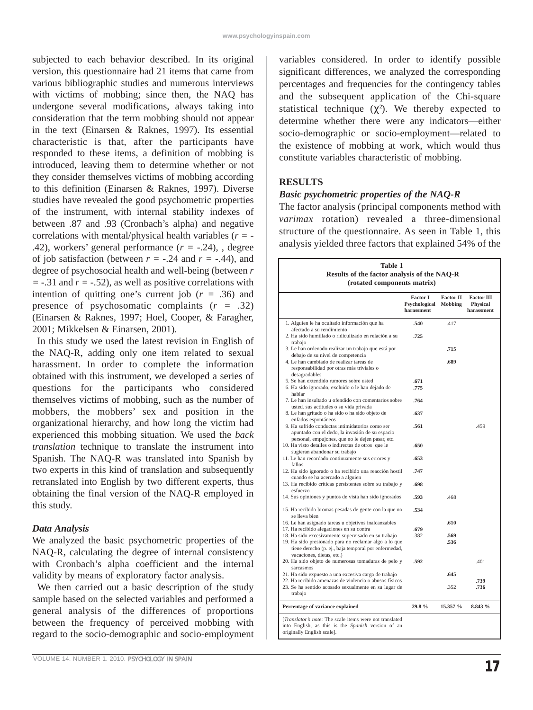subjected to each behavior described. In its original version, this questionnaire had 21 items that came from various bibliographic studies and numerous interviews with victims of mobbing; since then, the NAQ has undergone several modifications, always taking into consideration that the term mobbing should not appear in the text (Einarsen & Raknes, 1997). Its essential characteristic is that, after the participants have responded to these items, a definition of mobbing is introduced, leaving them to determine whether or not they consider themselves victims of mobbing according to this definition (Einarsen & Raknes, 1997). Diverse studies have revealed the good psychometric properties of the instrument, with internal stability indexes of between .87 and .93 (Cronbach's alpha) and negative correlations with mental/physical health variables (*r =* - .42), workers' general performance (*r =* -.24), , degree of job satisfaction (between  $r = -.24$  and  $r = -.44$ ), and degree of psychosocial health and well-being (between *r =* -.31 and *r =* -.52), as well as positive correlations with intention of quitting one's current job  $(r = .36)$  and presence of psychosomatic complaints (*r =* .32) (Einarsen & Raknes, 1997; Hoel, Cooper, & Faragher, 2001; Mikkelsen & Einarsen, 2001).

In this study we used the latest revision in English of the NAQ-R, adding only one item related to sexual harassment. In order to complete the information obtained with this instrument, we developed a series of questions for the participants who considered themselves victims of mobbing, such as the number of mobbers, the mobbers' sex and position in the organizational hierarchy, and how long the victim had experienced this mobbing situation. We used the *back translation* technique to translate the instrument into Spanish. The NAQ-R was translated into Spanish by two experts in this kind of translation and subsequently retranslated into English by two different experts, thus obtaining the final version of the NAQ-R employed in this study.

#### *Data Analysis*

We analyzed the basic psychometric properties of the NAQ-R, calculating the degree of internal consistency with Cronbach's alpha coefficient and the internal validity by means of exploratory factor analysis.

We then carried out a basic description of the study sample based on the selected variables and performed a general analysis of the differences of proportions between the frequency of perceived mobbing with regard to the socio-demographic and socio-employment

variables considered. In order to identify possible significant differences, we analyzed the corresponding percentages and frequencies for the contingency tables and the subsequent application of the Chi-square statistical technique  $(\chi^2)$ . We thereby expected to determine whether there were any indicators—either socio-demographic or socio-employment—related to the existence of mobbing at work, which would thus constitute variables characteristic of mobbing.

#### **RESULTS**

П

#### *Basic psychometric properties of the NAQ-R*

The factor analysis (principal components method with *varimax* rotation) revealed a three-dimensional structure of the questionnaire. As seen in Table 1, this analysis yielded three factors that explained 54% of the

|                                                                                                                                                                                                   | <b>Factor I</b><br>Psychological<br>harassment | <b>Factor II</b><br>Mobbing | <b>Factor III</b><br><b>Physical</b><br>harassment |
|---------------------------------------------------------------------------------------------------------------------------------------------------------------------------------------------------|------------------------------------------------|-----------------------------|----------------------------------------------------|
| 1. Alguien le ha ocultado información que ha<br>afectado a su rendimiento                                                                                                                         | .540                                           | .417                        |                                                    |
| 2. Ha sido humillado o ridiculizado en relación a su<br>trabajo                                                                                                                                   | .725                                           |                             |                                                    |
| 3. Le han ordenado realizar un trabajo que está por<br>debajo de su nivel de competencia                                                                                                          |                                                | .715                        |                                                    |
| 4. Le han cambiado de realizar tareas de<br>responsabilidad por otras más triviales o<br>desagradables                                                                                            |                                                | .689                        |                                                    |
| 5. Se han extendido rumores sobre usted                                                                                                                                                           | .671                                           |                             |                                                    |
| 6. Ha sido ignorado, excluido o le han dejado de<br>hablar                                                                                                                                        | .775                                           |                             |                                                    |
| 7. Le han insultado u ofendido con comentarios sobre<br>usted. sus actitudes o su vida privada                                                                                                    | .764                                           |                             |                                                    |
| 8. Le han gritado o ha sido o ha sido objeto de<br>enfados espontáneos                                                                                                                            | .637                                           |                             |                                                    |
| 9. Ha sufrido conductas intimidatorios como ser<br>apuntado con el dedo, la invasión de su espacio<br>personal, empujones, que no le dejen pasar, etc.                                            | .561                                           |                             | .459                                               |
| 10. Ha visto detalles o indirectas de otros que le<br>sugieran abandonar su trabajo                                                                                                               | .650                                           |                             |                                                    |
| 11. Le han recordado continuamente sus errores y<br>fallos                                                                                                                                        | .653                                           |                             |                                                    |
| 12. Ha sido ignorado o ha recibido una reacción hostil<br>cuando se ha acercado a alguien                                                                                                         | .747                                           |                             |                                                    |
| 13. Ha recibido críticas persistentes sobre su trabajo y<br>esfuerzo                                                                                                                              | .698                                           |                             |                                                    |
| 14. Sus opiniones y puntos de vista han sido ignorados                                                                                                                                            | .593                                           | .468                        |                                                    |
| 15. Ha recibido bromas pesadas de gente con la que no<br>se lleva bien                                                                                                                            | .534                                           |                             |                                                    |
| 16. Le han asignado tareas u objetivos inalcanzables                                                                                                                                              |                                                | .610                        |                                                    |
| 17. Ha recibido alegaciones en su contra                                                                                                                                                          | .679                                           |                             |                                                    |
| 18. Ha sido excesivamente supervisado en su trabajo<br>19. Ha sido presionado para no reclamar algo a lo que<br>tiene derecho (p. ej., baja temporal por enfermedad,<br>vacaciones, dietas, etc.) | .382                                           | .569<br>.536                |                                                    |
| 20. Ha sido objeto de numerosas tomaduras de pelo y<br>sarcasmos                                                                                                                                  | .592                                           |                             | .401                                               |
| 21. Ha sido expuesto a una excesiva carga de trabajo                                                                                                                                              |                                                | .645                        |                                                    |
| 22. Ha recibido amenazas de violencia o abusos físicos<br>23. Se ha sentido acosado sexualmente en su lugar de<br>trabajo                                                                         |                                                | 352                         | .739<br>.736                                       |
| Percentage of variance explained                                                                                                                                                                  | 29.8%                                          | 15.357 %                    | 8.843 %                                            |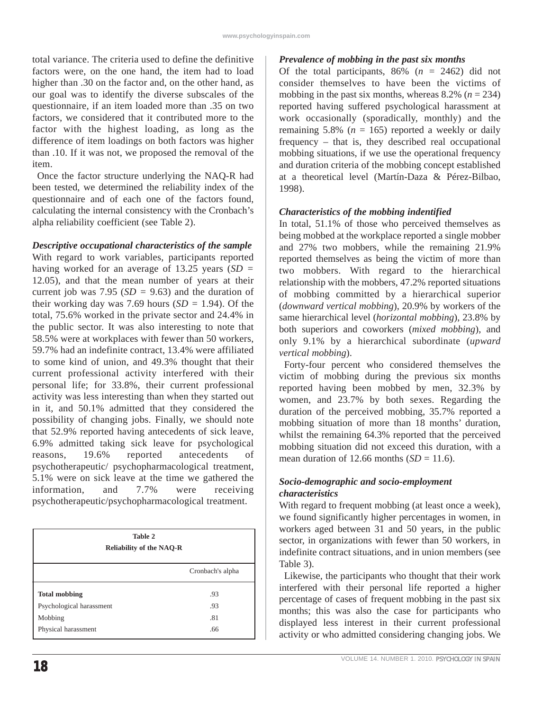total variance. The criteria used to define the definitive factors were, on the one hand, the item had to load higher than .30 on the factor and, on the other hand, as our goal was to identify the diverse subscales of the questionnaire, if an item loaded more than .35 on two factors, we considered that it contributed more to the factor with the highest loading, as long as the difference of item loadings on both factors was higher than .10. If it was not, we proposed the removal of the item.

Once the factor structure underlying the NAQ-R had been tested, we determined the reliability index of the questionnaire and of each one of the factors found, calculating the internal consistency with the Cronbach's alpha reliability coefficient (see Table 2).

## *Descriptive occupational characteristics of the sample*

With regard to work variables, participants reported having worked for an average of 13.25 years (*SD =* 12.05), and that the mean number of years at their current job was 7.95 (*SD =* 9.63) and the duration of their working day was 7.69 hours  $(SD = 1.94)$ . Of the total, 75.6% worked in the private sector and 24.4% in the public sector. It was also interesting to note that 58.5% were at workplaces with fewer than 50 workers, 59.7% had an indefinite contract, 13.4% were affiliated to some kind of union, and 49.3% thought that their current professional activity interfered with their personal life; for 33.8%, their current professional activity was less interesting than when they started out in it, and 50.1% admitted that they considered the possibility of changing jobs. Finally, we should note that 52.9% reported having antecedents of sick leave, 6.9% admitted taking sick leave for psychological reasons, 19.6% reported antecedents of psychotherapeutic/ psychopharmacological treatment, 5.1% were on sick leave at the time we gathered the information, and 7.7% were receiving psychotherapeutic/psychopharmacological treatment.

| Table 2<br><b>Reliability of the NAQ-R</b> |                  |  |  |  |
|--------------------------------------------|------------------|--|--|--|
|                                            | Cronbach's alpha |  |  |  |
| <b>Total mobbing</b>                       | .93              |  |  |  |
| Psychological harassment                   | .93              |  |  |  |
| Mobbing                                    | .81              |  |  |  |
| Physical harassment                        | .66              |  |  |  |

## *Prevalence of mobbing in the past six months*

Of the total participants,  $86\%$  ( $n = 2462$ ) did not consider themselves to have been the victims of mobbing in the past six months, whereas  $8.2\%$  ( $n = 234$ ) reported having suffered psychological harassment at work occasionally (sporadically, monthly) and the remaining 5.8% ( $n = 165$ ) reported a weekly or daily frequency – that is, they described real occupational mobbing situations, if we use the operational frequency and duration criteria of the mobbing concept established at a theoretical level (Martín-Daza & Pérez-Bilbao, 1998).

#### *Characteristics of the mobbing indentified*

In total, 51.1% of those who perceived themselves as being mobbed at the workplace reported a single mobber and 27% two mobbers, while the remaining 21.9% reported themselves as being the victim of more than two mobbers. With regard to the hierarchical relationship with the mobbers, 47.2% reported situations of mobbing committed by a hierarchical superior (*downward vertical mobbing*), 20.9% by workers of the same hierarchical level (*horizontal mobbing*), 23.8% by both superiors and coworkers (*mixed mobbing*), and only 9.1% by a hierarchical subordinate (*upward vertical mobbing*).

Forty-four percent who considered themselves the victim of mobbing during the previous six months reported having been mobbed by men, 32.3% by women, and 23.7% by both sexes. Regarding the duration of the perceived mobbing, 35.7% reported a mobbing situation of more than 18 months' duration, whilst the remaining 64.3% reported that the perceived mobbing situation did not exceed this duration, with a mean duration of 12.66 months  $(SD = 11.6)$ .

#### *Socio-demographic and socio-employment characteristics*

With regard to frequent mobbing (at least once a week), we found significantly higher percentages in women, in workers aged between 31 and 50 years, in the public sector, in organizations with fewer than 50 workers, in indefinite contract situations, and in union members (see Table 3).

Likewise, the participants who thought that their work interfered with their personal life reported a higher percentage of cases of frequent mobbing in the past six months; this was also the case for participants who displayed less interest in their current professional activity or who admitted considering changing jobs. We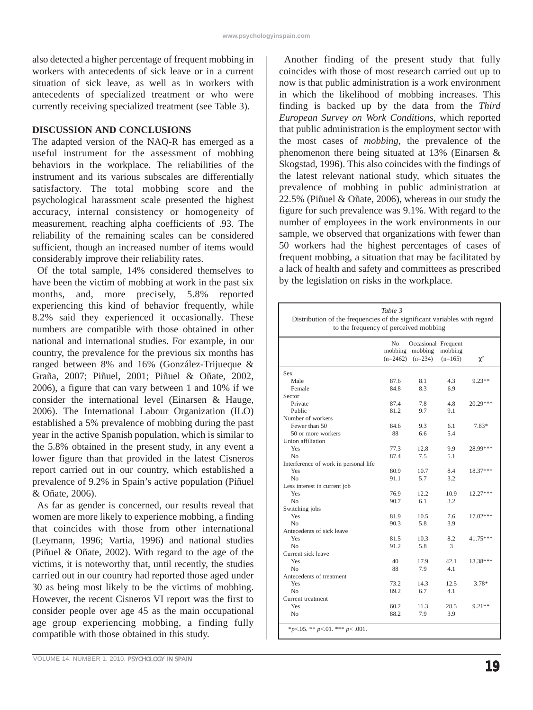also detected a higher percentage of frequent mobbing in workers with antecedents of sick leave or in a current situation of sick leave, as well as in workers with antecedents of specialized treatment or who were currently receiving specialized treatment (see Table 3).

#### **DISCUSSION AND CONCLUSIONS**

The adapted version of the NAQ-R has emerged as a useful instrument for the assessment of mobbing behaviors in the workplace. The reliabilities of the instrument and its various subscales are differentially satisfactory. The total mobbing score and the psychological harassment scale presented the highest accuracy, internal consistency or homogeneity of measurement, reaching alpha coefficients of .93. The reliability of the remaining scales can be considered sufficient, though an increased number of items would considerably improve their reliability rates.

Of the total sample, 14% considered themselves to have been the victim of mobbing at work in the past six months, and, more precisely, 5.8% reported experiencing this kind of behavior frequently, while 8.2% said they experienced it occasionally. These numbers are compatible with those obtained in other national and international studies. For example, in our country, the prevalence for the previous six months has ranged between 8% and 16% (González-Trijueque & Graña, 2007; Piñuel, 2001; Piñuel & Oñate, 2002, 2006), a figure that can vary between 1 and 10% if we consider the international level (Einarsen & Hauge, 2006). The International Labour Organization (ILO) established a 5% prevalence of mobbing during the past year in the active Spanish population, which is similar to the 5.8% obtained in the present study, in any event a lower figure than that provided in the latest Cisneros report carried out in our country, which established a prevalence of 9.2% in Spain's active population (Piñuel & Oñate, 2006).

As far as gender is concerned, our results reveal that women are more likely to experience mobbing, a finding that coincides with those from other international (Leymann, 1996; Vartia, 1996) and national studies (Piñuel & Oñate, 2002). With regard to the age of the victims, it is noteworthy that, until recently, the studies carried out in our country had reported those aged under 30 as being most likely to be the victims of mobbing. However, the recent Cisneros VI report was the first to consider people over age 45 as the main occupational age group experiencing mobbing, a finding fully compatible with those obtained in this study.

Another finding of the present study that fully coincides with those of most research carried out up to now is that public administration is a work environment in which the likelihood of mobbing increases. This finding is backed up by the data from the *Third European Survey on Work Conditions*, which reported that public administration is the employment sector with the most cases of *mobbing*, the prevalence of the phenomenon there being situated at 13% (Einarsen & Skogstad, 1996). This also coincides with the findings of the latest relevant national study, which situates the prevalence of mobbing in public administration at 22.5% (Piñuel & Oñate, 2006), whereas in our study the figure for such prevalence was 9.1%. With regard to the number of employees in the work environments in our sample, we observed that organizations with fewer than 50 workers had the highest percentages of cases of frequent mobbing, a situation that may be facilitated by a lack of health and safety and committees as prescribed by the legislation on risks in the workplace.

| Table 3<br>Distribution of the frequencies of the significant variables with regard<br>to the frequency of perceived mobbing |      |                                                                |                      |            |  |  |
|------------------------------------------------------------------------------------------------------------------------------|------|----------------------------------------------------------------|----------------------|------------|--|--|
|                                                                                                                              | No   | Occasional Frequent<br>mobbing mobbing<br>$(n=2462)$ $(n=234)$ | mobbing<br>$(n=165)$ | $\chi^2$   |  |  |
| <b>Sex</b>                                                                                                                   |      |                                                                |                      |            |  |  |
| Male                                                                                                                         | 87.6 | 8.1                                                            | 4.3                  | $9.23**$   |  |  |
| Female                                                                                                                       | 84.8 | 8.3                                                            | 6.9                  |            |  |  |
| Sector                                                                                                                       |      |                                                                |                      |            |  |  |
| Private                                                                                                                      | 87.4 | 7.8                                                            | 4.8                  | 20.29***   |  |  |
| Public                                                                                                                       | 81.2 | 9.7                                                            | 9.1                  |            |  |  |
| Number of workers                                                                                                            |      |                                                                |                      |            |  |  |
| Fewer than 50                                                                                                                | 84.6 | 9.3                                                            | 6.1                  | 7.83*      |  |  |
| 50 or more workers                                                                                                           | 88   | 6.6                                                            | 5.4                  |            |  |  |
| Union affiliation                                                                                                            |      |                                                                |                      |            |  |  |
| Yes                                                                                                                          | 77.3 | 12.8                                                           | 9.9                  | 28.99***   |  |  |
| No.                                                                                                                          | 87.4 | 7.5                                                            | 5.1                  |            |  |  |
| Interference of work in personal life                                                                                        |      |                                                                |                      |            |  |  |
| Yes                                                                                                                          | 80.9 | 10.7                                                           | 8.4                  | 18.37***   |  |  |
| No                                                                                                                           | 91.1 | 5.7                                                            | 3.2                  |            |  |  |
| Less interest in current job                                                                                                 |      |                                                                |                      |            |  |  |
| Yes                                                                                                                          | 76.9 | 12.2                                                           | 10.9                 | $12.27***$ |  |  |
| N <sub>o</sub>                                                                                                               | 90.7 | 6.1                                                            | 3.2                  |            |  |  |
| Switching jobs                                                                                                               |      |                                                                |                      |            |  |  |
| Yes                                                                                                                          | 81.9 | 10.5                                                           | 7.6                  | 17.02***   |  |  |
| N <sub>0</sub>                                                                                                               | 90.3 | 5.8                                                            | 3.9                  |            |  |  |
| Antecedents of sick leave                                                                                                    |      |                                                                |                      |            |  |  |
| Yes                                                                                                                          | 81.5 | 10.3                                                           | 8.2                  | 41.75***   |  |  |
| N <sub>0</sub>                                                                                                               | 91.2 | 5.8                                                            | 3                    |            |  |  |
| Current sick leave                                                                                                           |      |                                                                |                      |            |  |  |
| Yes                                                                                                                          | 40   | 17.9                                                           | 42.1                 | 13.38***   |  |  |
| No                                                                                                                           | 88   | 7.9                                                            | 4.1                  |            |  |  |
| Antecedents of treatment                                                                                                     |      |                                                                |                      |            |  |  |
| Yes                                                                                                                          | 73.2 | 14.3                                                           | 12.5                 | $3.78*$    |  |  |
| N <sub>0</sub>                                                                                                               | 89.2 | 6.7                                                            | 4.1                  |            |  |  |
| Current treatment                                                                                                            |      |                                                                |                      |            |  |  |
| Yes                                                                                                                          | 60.2 | 11.3                                                           | 28.5                 | $9.21**$   |  |  |
| No                                                                                                                           | 88.2 | 7.9                                                            | 3.9                  |            |  |  |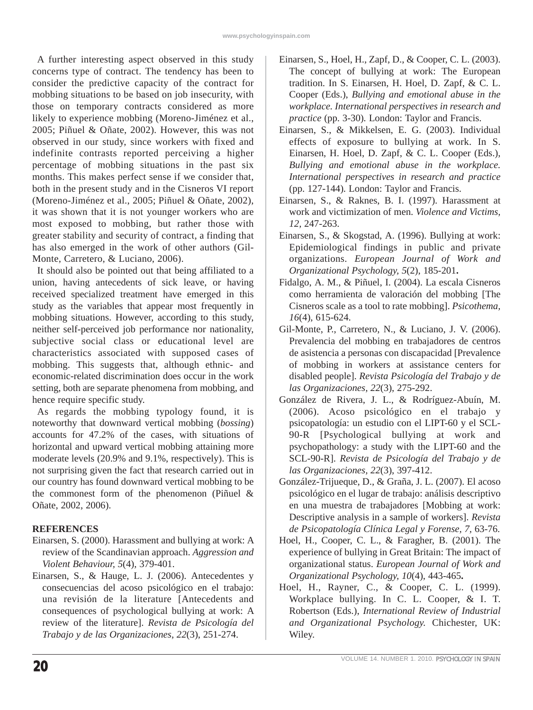A further interesting aspect observed in this study concerns type of contract. The tendency has been to consider the predictive capacity of the contract for mobbing situations to be based on job insecurity, with those on temporary contracts considered as more likely to experience mobbing (Moreno-Jiménez et al., 2005; Piñuel & Oñate, 2002). However, this was not observed in our study, since workers with fixed and indefinite contrasts reported perceiving a higher percentage of mobbing situations in the past six months. This makes perfect sense if we consider that, both in the present study and in the Cisneros VI report (Moreno-Jiménez et al., 2005; Piñuel & Oñate, 2002), it was shown that it is not younger workers who are most exposed to mobbing, but rather those with greater stability and security of contract, a finding that has also emerged in the work of other authors (Gil-Monte, Carretero, & Luciano, 2006).

It should also be pointed out that being affiliated to a union, having antecedents of sick leave, or having received specialized treatment have emerged in this study as the variables that appear most frequently in mobbing situations. However, according to this study, neither self-perceived job performance nor nationality, subjective social class or educational level are characteristics associated with supposed cases of mobbing. This suggests that, although ethnic- and economic-related discrimination does occur in the work setting, both are separate phenomena from mobbing, and hence require specific study.

As regards the mobbing typology found, it is noteworthy that downward vertical mobbing (*bossing*) accounts for 47.2% of the cases, with situations of horizontal and upward vertical mobbing attaining more moderate levels (20.9% and 9.1%, respectively). This is not surprising given the fact that research carried out in our country has found downward vertical mobbing to be the commonest form of the phenomenon (Piñuel & Oñate, 2002, 2006).

# **REFERENCES**

- Einarsen, S. (2000). Harassment and bullying at work: A review of the Scandinavian approach. *Aggression and Violent Behaviour, 5*(4), 379-401.
- Einarsen, S., & Hauge, L. J. (2006). Antecedentes y consecuencias del acoso psicológico en el trabajo: una revisión de la literature [Antecedents and consequences of psychological bullying at work: A review of the literature]. *Revista de Psicología del Trabajo y de las Organizaciones*, *22*(3), 251-274.
- Einarsen, S., Hoel, H., Zapf, D., & Cooper, C. L. (2003). The concept of bullying at work: The European tradition. In S. Einarsen, H. Hoel, D. Zapf, & C. L. Cooper (Eds.), *Bullying and emotional abuse in the workplace. International perspectives in research and practice* (pp. 3-30)*.* London: Taylor and Francis.
- Einarsen, S., & Mikkelsen, E. G. (2003). Individual effects of exposure to bullying at work. In S. Einarsen, H. Hoel, D. Zapf, & C. L. Cooper (Eds.), *Bullying and emotional abuse in the workplace. International perspectives in research and practice* (pp. 127-144)*.* London: Taylor and Francis.
- Einarsen, S., & Raknes, B. I. (1997). Harassment at work and victimization of men. *Violence and Victims, 12,* 247-263.
- Einarsen, S., & Skogstad, A. (1996). Bullying at work: Epidemiological findings in public and private organizations. *European Journal of Work and Organizational Psychology, 5*(2), 185-201**.**
- Fidalgo, A. M., & Piñuel, I. (2004). La escala Cisneros como herramienta de valoración del mobbing [The Cisneros scale as a tool to rate mobbing]. *Psicothema, 16*(4), 615-624.
- Gil-Monte, P., Carretero, N., & Luciano, J. V. (2006). Prevalencia del mobbing en trabajadores de centros de asistencia a personas con discapacidad [Prevalence of mobbing in workers at assistance centers for disabled people]. *Revista Psicología del Trabajo y de las Organizaciones, 22*(3), 275-292.
- González de Rivera, J. L., & Rodríguez-Abuín, M. (2006). Acoso psicológico en el trabajo y psicopatología: un estudio con el LIPT-60 y el SCL-90-R [Psychological bullying at work and psychopathology: a study with the LIPT-60 and the SCL-90-R]. *Revista de Psicología del Trabajo y de las Organizaciones, 22*(3), 397-412.
- González-Trijueque, D., & Graña, J. L. (2007). El acoso psicológico en el lugar de trabajo: análisis descriptivo en una muestra de trabajadores [Mobbing at work: Descriptive analysis in a sample of workers]. *Revista de Psicopatología Clínica Legal y Forense, 7,* 63-76.
- Hoel, H., Cooper, C. L., & Faragher, B. (2001). The experience of bullying in Great Britain: The impact of organizational status. *European Journal of Work and Organizational Psychology, 10*(4), 443-465**.**
- Hoel, H., Rayner, C., & Cooper, C. L. (1999). Workplace bullying. In C. L. Cooper, & I. T. Robertson (Eds.), *International Review of Industrial and Organizational Psychology.* Chichester, UK: Wiley.